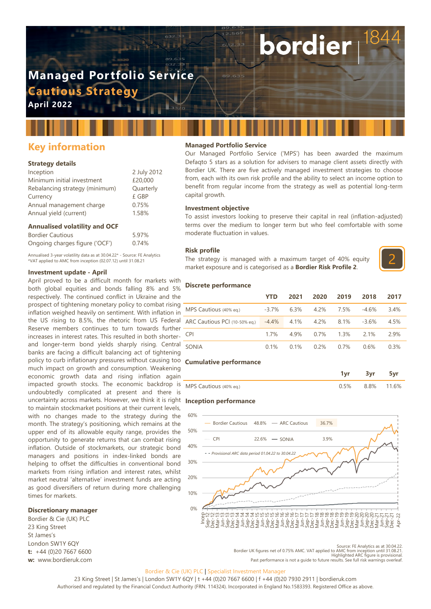# **Managed Portfolio Service Cautious Strategy**

**April 2022**

# **Key information**

### **Strategy details**

| Inception                      | 2 July 2012 |
|--------------------------------|-------------|
| Minimum initial investment     | £20,000     |
| Rebalancing strategy (minimum) | Quarterly   |
| Currency                       | £ GBP       |
| Annual management charge       | 0.75%       |
| Annual yield (current)         | 1.58%       |
|                                |             |

### **Annualised volatility and OCF**

| <b>Bordier Cautious</b>        | 5.97% |
|--------------------------------|-------|
| Ongoing charges figure ('OCF') | 0.74% |

Annualised 3-year volatility data as at 30.04.22\* - Source: FE Analytics \*VAT applied to AMC from inception (02.07.12) until 31.08.21

### **Investment update - April**

April proved to be a difficult month for markets with both global equities and bonds falling 8% and 5% respectively. The continued conflict in Ukraine and the prospect of tightening monetary policy to combat rising inflation weighed heavily on sentiment. With inflation in the US rising to 8.5%, the rhetoric from US Federal Reserve members continues to turn towards further increases in interest rates. This resulted in both shorterand longer-term bond yields sharply rising. Central banks are facing a difficult balancing act of tightening policy to curb inflationary pressures without causing too **Cumulative performance** much impact on growth and consumption. Weakening economic growth data and rising inflation again impacted growth stocks. The economic backdrop is undoubtedly complicated at present and there is uncertainty across markets. However, we think it is right **Inception performance** to maintain stockmarket positions at their current levels, with no changes made to the strategy during the month. The strategy's positioning, which remains at the upper end of its allowable equity range, provides the opportunity to generate returns that can combat rising inflation. Outside of stockmarkets, our strategic bond managers and positions in index-linked bonds are helping to offset the difficulties in conventional bond markets from rising inflation and interest rates, whilst market neutral 'alternative' investment funds are acting as good diversifiers of return during more challenging times for markets.

### **Discretionary manager**

Bordier & Cie (UK) PLC 23 King Street St James's London SW1Y 6QY **t:** +44 (0)20 7667 6600 **w:** www.bordieruk.com

### **Managed Portfolio Service**

Our Managed Portfolio Service ('MPS') has been awarded the maximum Defaqto 5 stars as a solution for advisers to manage client assets directly with Bordier UK. There are five actively managed investment strategies to choose from, each with its own risk profile and the ability to select an income option to benefit from regular income from the strategy as well as potential long-term capital growth.

bordier

### **Investment objective**

To assist investors looking to preserve their capital in real (inflation-adjusted) terms over the medium to longer term but who feel comfortable with some moderate fluctuation in values.

### **Risk profile**

The strategy is managed with a maximum target of 40% equity market exposure and is categorised as a **Bordier Risk Profile 2**.



### **Discrete performance**

|                                          | YTD      | 2021 | 2020    | 2019    | 2018    | 2017 |
|------------------------------------------|----------|------|---------|---------|---------|------|
| MPS Cautious (40% eq.)                   | $-3.7\%$ | 6.3% | 4.2%    | 7.5%    | $-4.6%$ | 3.4% |
| ARC Cautious PCI (10-50% eq.) -4.4% 4.1% |          |      | 4.2%    | 8.1%    | $-3.6%$ | 4.5% |
| <b>CPI</b>                               | 17%      | 4 9% | $0.7\%$ | $1.3\%$ | 2 1%    | 29%  |
| SONIA                                    | 0.1%     | 0.1% | $0.2\%$ | $0.7\%$ | 0.6%    | 0.3% |

|                        | 3vr                |  |
|------------------------|--------------------|--|
| MPS Cautious (40% eg.) | $0.5\%$ 8.8% 11.6% |  |



Source: FE Analytics as at 30.04.22. Bordier UK figures net of 0.75% AMC. VAT applied to AMC from inception until 31.08.21. Highlighted ARC figure is provisional. Past performance is not a guide to future results. See full risk warnings overleaf.

### Bordier & Cie (UK) PLC | Specialist Investment Manager

23 King Street | St James's | London SW1Y 6QY | t +44 (0)20 7667 6600 | f +44 (0)20 7930 2911 | bordieruk.com Authorised and regulated by the Financial Conduct Authority (FRN. 114324). Incorporated in England No.1583393. Registered Office as above.